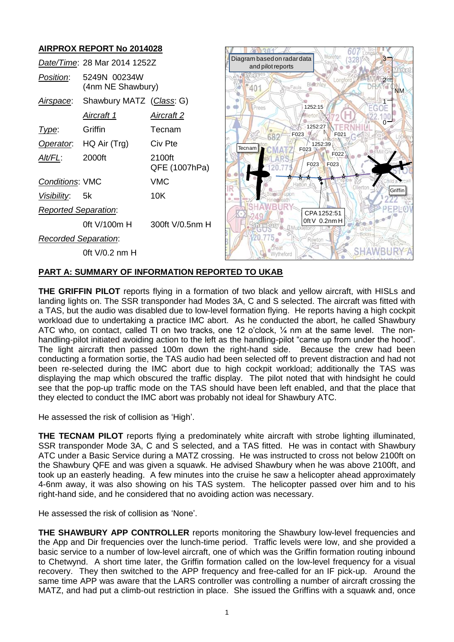# **AIRPROX REPORT No 2014028**

|                             | Date/Time: 28 Mar 2014 1252Z      |                         |
|-----------------------------|-----------------------------------|-------------------------|
| <i>Position:</i>            | 5249N 00234W<br>(4nm NE Shawbury) |                         |
| Airspace:                   | Shawbury MATZ (Class: G)          |                         |
|                             | Aircraft 1                        | <u>Aircraft 2</u>       |
| l ype:                      | Griffin                           | Tecnam                  |
| Operator.                   | $HQ$ Air $(Trg)$                  | Civ Pte                 |
| AIt/FL:                     | 2000ft                            | 2100ft<br>QFE (1007hPa) |
| <b>Conditions: VMC</b>      |                                   | VMC                     |
| Visibility: 5k              |                                   | 10K                     |
| <b>Reported Separation:</b> |                                   |                         |
|                             | 0ft V/100m H                      | 300ft V/0.5nm H         |
| <b>Recorded Separation:</b> |                                   |                         |
|                             | 0ft V/0.2 nm H                    |                         |



### **PART A: SUMMARY OF INFORMATION REPORTED TO UKAB**

**THE GRIFFIN PILOT** reports flying in a formation of two black and yellow aircraft, with HISLs and landing lights on. The SSR transponder had Modes 3A, C and S selected. The aircraft was fitted with a TAS, but the audio was disabled due to low-level formation flying. He reports having a high cockpit workload due to undertaking a practice IMC abort. As he conducted the abort, he called Shawbury ATC who, on contact, called TI on two tracks, one 12 o'clock, ¼ nm at the same level. The nonhandling-pilot initiated avoiding action to the left as the handling-pilot "came up from under the hood". The light aircraft then passed 100m down the right-hand side. Because the crew had been conducting a formation sortie, the TAS audio had been selected off to prevent distraction and had not been re-selected during the IMC abort due to high cockpit workload; additionally the TAS was displaying the map which obscured the traffic display. The pilot noted that with hindsight he could see that the pop-up traffic mode on the TAS should have been left enabled, and that the place that they elected to conduct the IMC abort was probably not ideal for Shawbury ATC.

He assessed the risk of collision as 'High'.

**THE TECNAM PILOT** reports flying a predominately white aircraft with strobe lighting illuminated, SSR transponder Mode 3A, C and S selected, and a TAS fitted. He was in contact with Shawbury ATC under a Basic Service during a MATZ crossing. He was instructed to cross not below 2100ft on the Shawbury QFE and was given a squawk. He advised Shawbury when he was above 2100ft, and took up an easterly heading. A few minutes into the cruise he saw a helicopter ahead approximately 4-6nm away, it was also showing on his TAS system. The helicopter passed over him and to his right-hand side, and he considered that no avoiding action was necessary.

He assessed the risk of collision as 'None'.

**THE SHAWBURY APP CONTROLLER** reports monitoring the Shawbury low-level frequencies and the App and Dir frequencies over the lunch-time period. Traffic levels were low, and she provided a basic service to a number of low-level aircraft, one of which was the Griffin formation routing inbound to Chetwynd. A short time later, the Griffin formation called on the low-level frequency for a visual recovery. They then switched to the APP frequency and free-called for an IF pick-up. Around the same time APP was aware that the LARS controller was controlling a number of aircraft crossing the MATZ, and had put a climb-out restriction in place. She issued the Griffins with a squawk and, once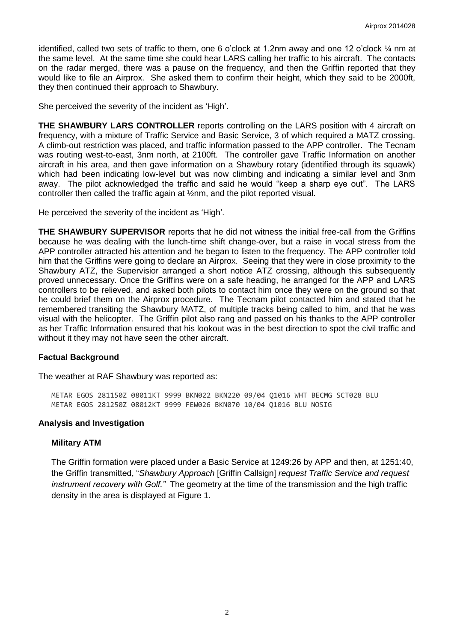identified, called two sets of traffic to them, one 6 o'clock at 1.2nm away and one 12 o'clock ¼ nm at the same level. At the same time she could hear LARS calling her traffic to his aircraft. The contacts on the radar merged, there was a pause on the frequency, and then the Griffin reported that they would like to file an Airprox. She asked them to confirm their height, which they said to be 2000ft, they then continued their approach to Shawbury.

She perceived the severity of the incident as 'High'.

**THE SHAWBURY LARS CONTROLLER** reports controlling on the LARS position with 4 aircraft on frequency, with a mixture of Traffic Service and Basic Service, 3 of which required a MATZ crossing. A climb-out restriction was placed, and traffic information passed to the APP controller. The Tecnam was routing west-to-east, 3nm north, at 2100ft. The controller gave Traffic Information on another aircraft in his area, and then gave information on a Shawbury rotary (identified through its squawk) which had been indicating low-level but was now climbing and indicating a similar level and 3nm away. The pilot acknowledged the traffic and said he would "keep a sharp eye out". The LARS controller then called the traffic again at ½nm, and the pilot reported visual.

He perceived the severity of the incident as 'High'.

**THE SHAWBURY SUPERVISOR** reports that he did not witness the initial free-call from the Griffins because he was dealing with the lunch-time shift change-over, but a raise in vocal stress from the APP controller attracted his attention and he began to listen to the frequency. The APP controller told him that the Griffins were going to declare an Airprox. Seeing that they were in close proximity to the Shawbury ATZ, the Supervisior arranged a short notice ATZ crossing, although this subsequently proved unnecessary. Once the Griffins were on a safe heading, he arranged for the APP and LARS controllers to be relieved, and asked both pilots to contact him once they were on the ground so that he could brief them on the Airprox procedure. The Tecnam pilot contacted him and stated that he remembered transiting the Shawbury MATZ, of multiple tracks being called to him, and that he was visual with the helicopter. The Griffin pilot also rang and passed on his thanks to the APP controller as her Traffic Information ensured that his lookout was in the best direction to spot the civil traffic and without it they may not have seen the other aircraft.

#### **Factual Background**

The weather at RAF Shawbury was reported as:

METAR EGOS 281150Z 08011KT 9999 BKN022 BKN220 09/04 Q1016 WHT BECMG SCT028 BLU METAR EGOS 281250Z 08012KT 9999 FEW026 BKN070 10/04 Q1016 BLU NOSIG

#### **Analysis and Investigation**

#### **Military ATM**

The Griffin formation were placed under a Basic Service at 1249:26 by APP and then, at 1251:40, the Griffin transmitted, "*Shawbury Approach* [Griffin Callsign] *request Traffic Service and request instrument recovery with Golf."* The geometry at the time of the transmission and the high traffic density in the area is displayed at Figure 1.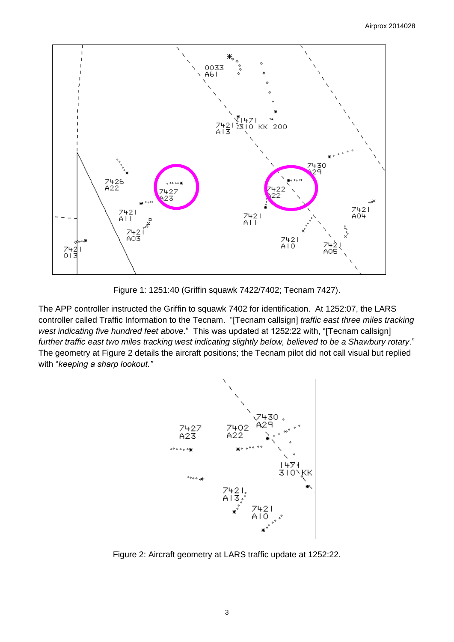

Figure 1: 1251:40 (Griffin squawk 7422/7402; Tecnam 7427).

The APP controller instructed the Griffin to squawk 7402 for identification. At 1252:07, the LARS controller called Traffic Information to the Tecnam. "[Tecnam callsign] *traffic east three miles tracking west indicating five hundred feet above*." This was updated at 1252:22 with, "[Tecnam callsign] *further traffic east two miles tracking west indicating slightly below, believed to be a Shawbury rotary*." The geometry at Figure 2 details the aircraft positions; the Tecnam pilot did not call visual but replied with "*keeping a sharp lookout."*



Figure 2: Aircraft geometry at LARS traffic update at 1252:22.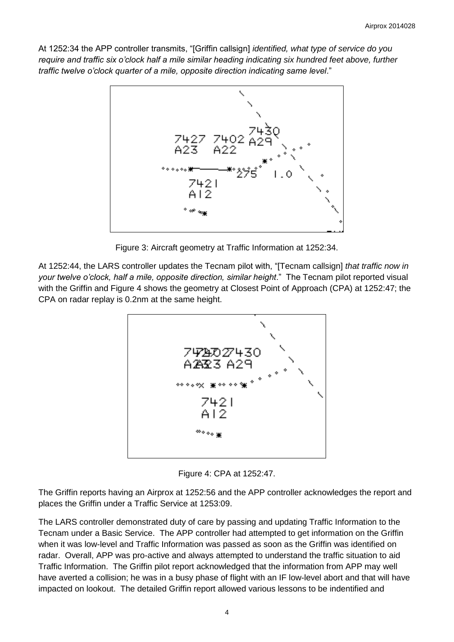At 1252:34 the APP controller transmits, "[Griffin callsign] *identified, what type of service do you require and traffic six o'clock half a mile similar heading indicating six hundred feet above, further traffic twelve o'clock quarter of a mile, opposite direction indicating same level*."



Figure 3: Aircraft geometry at Traffic Information at 1252:34.

At 1252:44, the LARS controller updates the Tecnam pilot with, "[Tecnam callsign] *that traffic now in your twelve o'clock, half a mile, opposite direction, similar height*." The Tecnam pilot reported visual with the Griffin and Figure 4 shows the geometry at Closest Point of Approach (CPA) at 1252:47; the CPA on radar replay is 0.2nm at the same height.



Figure 4: CPA at 1252:47.

The Griffin reports having an Airprox at 1252:56 and the APP controller acknowledges the report and places the Griffin under a Traffic Service at 1253:09.

The LARS controller demonstrated duty of care by passing and updating Traffic Information to the Tecnam under a Basic Service. The APP controller had attempted to get information on the Griffin when it was low-level and Traffic Information was passed as soon as the Griffin was identified on radar. Overall, APP was pro-active and always attempted to understand the traffic situation to aid Traffic Information. The Griffin pilot report acknowledged that the information from APP may well have averted a collision; he was in a busy phase of flight with an IF low-level abort and that will have impacted on lookout. The detailed Griffin report allowed various lessons to be indentified and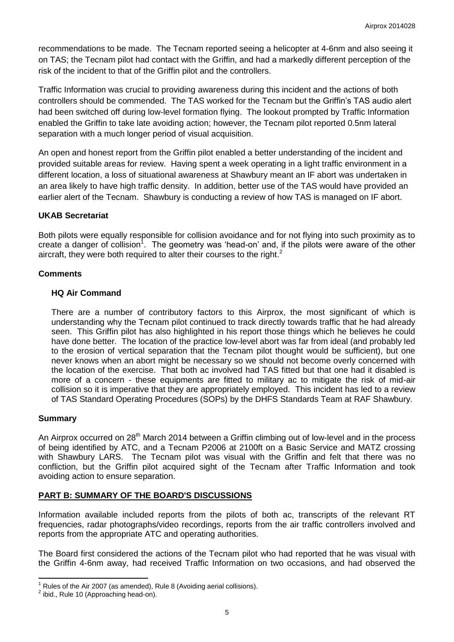recommendations to be made. The Tecnam reported seeing a helicopter at 4-6nm and also seeing it on TAS; the Tecnam pilot had contact with the Griffin, and had a markedly different perception of the risk of the incident to that of the Griffin pilot and the controllers.

Traffic Information was crucial to providing awareness during this incident and the actions of both controllers should be commended. The TAS worked for the Tecnam but the Griffin's TAS audio alert had been switched off during low-level formation flying. The lookout prompted by Traffic Information enabled the Griffin to take late avoiding action; however, the Tecnam pilot reported 0.5nm lateral separation with a much longer period of visual acquisition.

An open and honest report from the Griffin pilot enabled a better understanding of the incident and provided suitable areas for review. Having spent a week operating in a light traffic environment in a different location, a loss of situational awareness at Shawbury meant an IF abort was undertaken in an area likely to have high traffic density. In addition, better use of the TAS would have provided an earlier alert of the Tecnam. Shawbury is conducting a review of how TAS is managed on IF abort.

### **UKAB Secretariat**

Both pilots were equally responsible for collision avoidance and for not flying into such proximity as to create a danger of collision<sup>1</sup>. The geometry was 'head-on' and, if the pilots were aware of the other aircraft, they were both required to alter their courses to the right.<sup>2</sup>

#### **Comments**

#### **HQ Air Command**

There are a number of contributory factors to this Airprox, the most significant of which is understanding why the Tecnam pilot continued to track directly towards traffic that he had already seen. This Griffin pilot has also highlighted in his report those things which he believes he could have done better. The location of the practice low-level abort was far from ideal (and probably led to the erosion of vertical separation that the Tecnam pilot thought would be sufficient), but one never knows when an abort might be necessary so we should not become overly concerned with the location of the exercise. That both ac involved had TAS fitted but that one had it disabled is more of a concern - these equipments are fitted to military ac to mitigate the risk of mid-air collision so it is imperative that they are appropriately employed. This incident has led to a review of TAS Standard Operating Procedures (SOPs) by the DHFS Standards Team at RAF Shawbury.

#### **Summary**

An Airprox occurred on 28<sup>th</sup> March 2014 between a Griffin climbing out of low-level and in the process of being identified by ATC, and a Tecnam P2006 at 2100ft on a Basic Service and MATZ crossing with Shawbury LARS. The Tecnam pilot was visual with the Griffin and felt that there was no confliction, but the Griffin pilot acquired sight of the Tecnam after Traffic Information and took avoiding action to ensure separation.

# **PART B: SUMMARY OF THE BOARD'S DISCUSSIONS**

Information available included reports from the pilots of both ac, transcripts of the relevant RT frequencies, radar photographs/video recordings, reports from the air traffic controllers involved and reports from the appropriate ATC and operating authorities.

The Board first considered the actions of the Tecnam pilot who had reported that he was visual with the Griffin 4-6nm away, had received Traffic Information on two occasions, and had observed the

 $\overline{\phantom{a}}$ Rules of the Air 2007 (as amended), Rule 8 (Avoiding aerial collisions).

 $2$  ibid., Rule 10 (Approaching head-on).